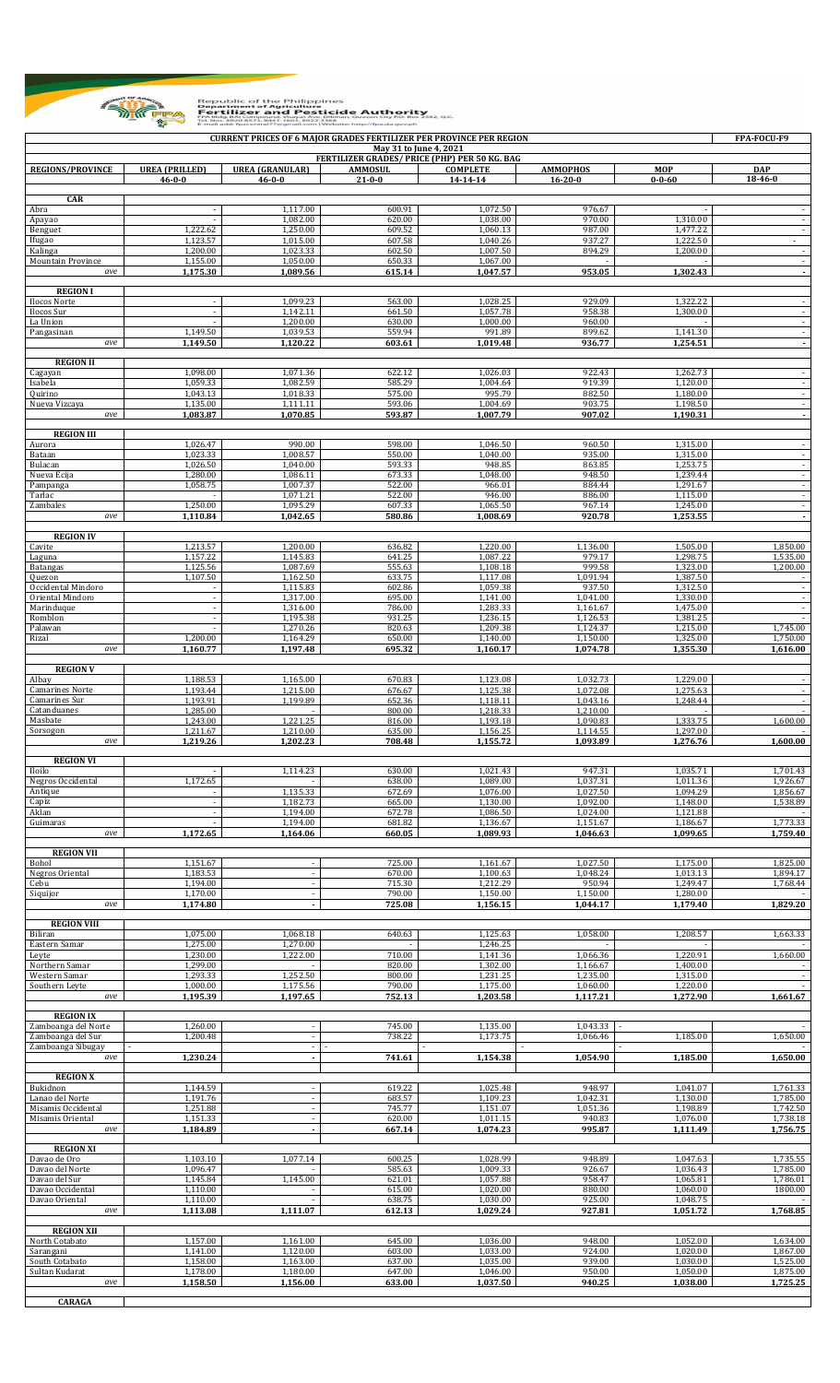

Republic of the Philippines<br> **Example Point Propriet and Pesticide Authority**<br> **Example Point Pertilizer and Pesticide Authority**<br> **Example Point Pertilizer and Pesticide Authority**<br> **Example Propriet Propriet Contract Pro**  $2, 0.0$ 

| <b>CURRENT PRICES OF 6 MAJOR GRADES FERTILIZER PER PROVINCE PER REGION</b><br>FPA-FOCU-F9<br>May 31 to June 4, 2021 |                                       |                                        |                                |                                               |                                  |                      |                          |  |  |  |
|---------------------------------------------------------------------------------------------------------------------|---------------------------------------|----------------------------------------|--------------------------------|-----------------------------------------------|----------------------------------|----------------------|--------------------------|--|--|--|
|                                                                                                                     |                                       |                                        |                                | FERTILIZER GRADES/ PRICE (PHP) PER 50 KG. BAG |                                  |                      |                          |  |  |  |
| <b>REGIONS/PROVINCE</b>                                                                                             | <b>UREA (PRILLED)</b><br>$46 - 0 - 0$ | <b>UREA (GRANULAR)</b><br>$46 - 0 - 0$ | <b>AMMOSUL</b><br>$21 - 0 - 0$ | <b>COMPLETE</b><br>14-14-14                   | <b>AMMOPHOS</b><br>$16 - 20 - 0$ | MOP<br>$0 - 0 - 60$  | <b>DAP</b><br>18-46-0    |  |  |  |
| <b>CAR</b>                                                                                                          |                                       |                                        |                                |                                               |                                  |                      |                          |  |  |  |
| Abra<br>Apayao                                                                                                      |                                       | 1,117.00<br>1,082.00                   | 600.91<br>620.00               | 1,072.50<br>1,038.00                          | 976.67<br>970.00                 | 1,310.00             |                          |  |  |  |
| Benguet                                                                                                             | 1,222.62                              | 1,250.00                               | 609.52                         | 1,060.13                                      | 987.00                           | 1,477.22             | $\overline{\phantom{a}}$ |  |  |  |
| Ifugao<br>Kalinga                                                                                                   | 1.123.57<br>1,200.00                  | 1,015.00<br>1,023.33                   | 607.58<br>602.50               | 1,040.26<br>1,007.50                          | 937.27<br>894.29                 | 1.222.50<br>1,200.00 | $\overline{\phantom{a}}$ |  |  |  |
| Mountain Province<br>ave                                                                                            | 1,155.00<br>1,175.30                  | 1,050.00<br>1.089.56                   | 650.33<br>615.14               | 1,067.00<br>1,047.57                          | 953.05                           | 1,302.43             | $\overline{\phantom{a}}$ |  |  |  |
|                                                                                                                     |                                       |                                        |                                |                                               |                                  |                      | $\overline{\phantom{a}}$ |  |  |  |
| <b>REGION I</b><br>Ilocos Norte                                                                                     | $\blacksquare$                        | 1,099.23                               | 563.00                         | 1,028.25                                      | 929.09                           | 1,322.22             |                          |  |  |  |
| Ilocos Sur<br>La Union                                                                                              |                                       | 1.142.11<br>1,200.00                   | 661.50<br>630.00               | 1,057.78<br>1,000.00                          | 958.38<br>960.00                 | 1,300.00             |                          |  |  |  |
| Pangasinan                                                                                                          | 1,149.50                              | 1,039.53                               | 559.94                         | 991.89                                        | 899.62                           | 1,141.30             | $\overline{\phantom{a}}$ |  |  |  |
| ave                                                                                                                 | 1,149.50                              | 1,120.22                               | 603.61                         | 1,019.48                                      | 936.77                           | 1,254.51             | $\blacksquare$           |  |  |  |
| <b>REGION II</b><br>Cagayan                                                                                         | 1,098.00                              | 1,071.36                               | 622.12                         | 1,026.03                                      | 922.43                           | 1,262.73             |                          |  |  |  |
| Isabela                                                                                                             | 1,059.33                              | 1,082.59                               | 585.29                         | 1,004.64                                      | 919.39                           | 1,120.00             | $\blacksquare$           |  |  |  |
| Quirino<br>Nueva Vizcaya                                                                                            | 1,043.13<br>1,135.00                  | 1,018.33<br>1,111.11                   | 575.00<br>593.06               | 995.79<br>1,004.69                            | 882.50<br>903.75                 | 1,180.00<br>1,198.50 | $\sim$                   |  |  |  |
| ave                                                                                                                 | 1,083.87                              | 1.070.85                               | 593.87                         | 1,007.79                                      | 907.02                           | 1,190.31             | $\overline{\phantom{a}}$ |  |  |  |
| <b>REGION III</b>                                                                                                   |                                       |                                        |                                |                                               |                                  |                      |                          |  |  |  |
| Aurora<br>Bataan                                                                                                    | 1,026.47<br>1,023.33                  | 990.00<br>1,008.57                     | 598.00<br>550.00               | 1,046.50<br>1,040.00                          | 960.50<br>935.00                 | 1,315.00<br>1,315.00 |                          |  |  |  |
| Bulacan                                                                                                             | 1,026.50                              | 1,040.00                               | 593.33                         | 948.85                                        | 863.85                           | 1,253.75             | $\overline{\phantom{a}}$ |  |  |  |
| Nueva Ecija<br>Pampanga                                                                                             | 1,280.00<br>1,058.75                  | 1,086.11<br>1,007.37                   | 673.33<br>522.00               | 1,048.00<br>966.01                            | 948.50<br>884.44                 | 1,239.44<br>1,291.67 |                          |  |  |  |
| Tarlac<br>Zambales                                                                                                  | 1,250.00                              | 1,071.21<br>1,095.29                   | 522.00<br>607.33               | 946.00<br>1,065.50                            | 886.00<br>967.14                 | 1,115.00<br>1,245.00 | $\overline{\phantom{a}}$ |  |  |  |
| ave                                                                                                                 | 1,110.84                              | 1,042.65                               | 580.86                         | 1.008.69                                      | 920.78                           | 1,253.55             | $\overline{\phantom{a}}$ |  |  |  |
| <b>REGION IV</b>                                                                                                    |                                       |                                        |                                |                                               |                                  |                      |                          |  |  |  |
| Cavite<br>Laguna                                                                                                    | 1,213.57<br>1,157.22                  | 1,200.00<br>1,145.83                   | 636.82<br>641.25               | 1,220.00<br>1,087.22                          | 1,136.00<br>979.17               | 1,505.00<br>1,298.75 | 1,850.00<br>1,535.00     |  |  |  |
| Batangas                                                                                                            | 1,125.56                              | 1,087.69                               | 555.63                         | 1,108.18                                      | 999.58                           | 1,323.00             | 1,200.00                 |  |  |  |
| Quezon<br>Occidental Mindoro                                                                                        | 1,107.50                              | 1,162.50<br>1,115.83                   | 633.75<br>602.86               | 1,117.08<br>1,059.38                          | 1,091.94<br>937.50               | 1,387.50<br>1,312.50 |                          |  |  |  |
| Oriental Mindoro<br>Marinduque                                                                                      | $\sim$                                | 1,317.00<br>1,316.00                   | 695.00<br>786.00               | 1,141.00<br>1,283.33                          | 1,041.00<br>1,161.67             | 1,330.00<br>1,475.00 | $\sim$                   |  |  |  |
| Romblon                                                                                                             |                                       | 1,195.38                               | 931.25                         | 1,236.15                                      | 1,126.53                         | 1,381.25             | $\overline{\phantom{a}}$ |  |  |  |
| Palawan<br>Rizal                                                                                                    | 1,200.00                              | 1,270.26<br>1,164.29                   | 820.63<br>650.00               | 1,209.38<br>1,140.00                          | 1,124.37<br>1,150.00             | 1,215.00<br>1,325.00 | 1,745.00<br>1,750.00     |  |  |  |
| ave                                                                                                                 | 1,160.77                              | 1,197.48                               | 695.32                         | 1,160.17                                      | 1,074.78                         | 1,355.30             | 1,616.00                 |  |  |  |
| <b>REGION V</b>                                                                                                     |                                       |                                        |                                |                                               |                                  |                      |                          |  |  |  |
| Albay<br><b>Camarines Norte</b>                                                                                     | 1,188.53<br>1.193.44                  | 1,165.00<br>1,215.00                   | 670.83<br>676.67               | 1,123.08<br>1,125.38                          | 1,032.73<br>1,072.08             | 1,229.00<br>1,275.63 |                          |  |  |  |
| Camarines Sur                                                                                                       | 1.193.91                              | 1,199.89                               | 652.36                         | 1,118.11                                      | 1,043.16                         | 1,248.44             |                          |  |  |  |
| Catanduanes<br>Masbate                                                                                              | 1,285.00<br>1.243.00                  | 1,221.25                               | 800.00<br>816.00               | 1,218.33<br>1,193.18                          | 1,210.00<br>1,090.83             | 1,333.75             | 1,600.00                 |  |  |  |
| Sorsogon<br>ave                                                                                                     | 1,211.67                              | 1,210.00                               | 635.00<br>708.48               | 1,156.25                                      | 1,114.55                         | 1,297.00             |                          |  |  |  |
|                                                                                                                     | 1,219.26                              | 1,202.23                               |                                | 1,155.72                                      | 1,093.89                         | 1,276.76             | 1,600.00                 |  |  |  |
| <b>REGION VI</b><br>Iloilo                                                                                          |                                       | 1,114.23                               | 630.00                         | 1,021.43                                      | 947.31                           | 1,035.71             | 1,701.43                 |  |  |  |
| Negros Occidental                                                                                                   | 1,172.65                              |                                        | 638.00                         | 1,089.00                                      | 1,037.31                         | 1,011.36             | 1,926.67                 |  |  |  |
| Antique<br>Capiz                                                                                                    | $\blacksquare$                        | 1,135.33<br>1,182.73                   | 672.69<br>665.00               | 1,076.00<br>1,130.00                          | 1,027.50<br>1,092.00             | 1,094.29<br>1,148.00 | 1,856.67<br>1,538.89     |  |  |  |
| Aklan<br>Guimaras                                                                                                   | $\sim$                                | 1,194.00<br>1,194.00                   | 672.78<br>681.82               | 1,086.50<br>1,136.67                          | 1,024.00<br>1,151.67             | 1,121.88<br>1,186.67 | 1,773.33                 |  |  |  |
| ave                                                                                                                 | 1,172.65                              | 1,164.06                               | 660.05                         | 1,089.93                                      | 1,046.63                         | 1,099.65             | 1,759.40                 |  |  |  |
| <b>REGION VII</b>                                                                                                   |                                       |                                        |                                |                                               |                                  |                      |                          |  |  |  |
| Bohol<br>Negros Oriental                                                                                            | 1,151.67<br>1,183.53                  | $\blacksquare$                         | 725.00<br>670.00               | 1,161.67<br>1,100.63                          | 1,027.50<br>1,048.24             | 1,175.00<br>1,013.13 | 1,825.00<br>1,894.17     |  |  |  |
| Cebu                                                                                                                | 1,194.00                              | $\blacksquare$                         | 715.30                         | 1,212.29                                      | 950.94                           | 1.249.47             | 1,768.44                 |  |  |  |
| Siquijor<br>ave                                                                                                     | 1,170.00<br>1,174.80                  | $\overline{\phantom{a}}$               | 790.00<br>725.08               | 1,150.00<br>1,156.15                          | 1,150.00<br>1,044.17             | 1,280.00<br>1,179.40 | 1,829.20                 |  |  |  |
| <b>REGION VIII</b>                                                                                                  |                                       |                                        |                                |                                               |                                  |                      |                          |  |  |  |
| Biliran                                                                                                             | 1,075.00                              | 1,068.18                               | 640.63                         | 1,125.63                                      | 1,058.00                         | 1,208.57             | 1,663.33                 |  |  |  |
| Eastern Samar<br>Leyte                                                                                              | 1,275.00<br>1,230.00                  | 1,270.00<br>1,222.00                   | 710.00                         | 1,246.25<br>1,141.36                          | 1,066.36                         | 1,220.91             | 1,660.00                 |  |  |  |
| Northern Samar<br>Western Samar                                                                                     | 1,299.00<br>1,293.33                  | 1,252.50                               | 820.00<br>800.00               | 1,302.00<br>1,231.25                          | 1,166.67<br>1,235.00             | 1,400.00<br>1,315.00 |                          |  |  |  |
| Southern Leyte                                                                                                      | 1,000.00                              | 1,175.56                               | 790.00                         | 1,175.00                                      | 1,060.00                         | 1,220.00             | $\overline{\phantom{a}}$ |  |  |  |
| ave                                                                                                                 | 1,195.39                              | 1,197.65                               | 752.13                         | 1,203.58                                      | 1,117.21                         | 1,272.90             | 1,661.67                 |  |  |  |
| <b>REGION IX</b>                                                                                                    |                                       |                                        |                                |                                               |                                  |                      |                          |  |  |  |
| Zamboanga del Norte<br>Zamboanga del Sur                                                                            | 1,260.00<br>1,200.48                  | $\Delta$                               | 745.00<br>738.22               | 1,135.00<br>1,173.75                          | 1,043.33<br>1,066.46             | 1,185.00             | 1,650.00                 |  |  |  |
| Zamboanga Sibugay<br>ave                                                                                            | 1,230.24                              | $\omega$<br>$\blacksquare$             | 741.61                         | 1,154.38                                      | 1,054.90                         | 1,185.00             | 1,650.00                 |  |  |  |
|                                                                                                                     |                                       |                                        |                                |                                               |                                  |                      |                          |  |  |  |
| <b>REGION X</b><br>Bukidnon                                                                                         | 1,144.59                              |                                        | 619.22                         | 1,025.48                                      | 948.97                           | 1,041.07             | 1,761.33                 |  |  |  |
| Lanao del Norte<br>Misamis Occidental                                                                               | 1,191.76<br>1,251.88                  | $\sim$                                 | 683.57<br>745.77               | 1,109.23<br>1,151.07                          | 1,042.31<br>1,051.36             | 1,130.00<br>1,198.89 | 1,785.00<br>1,742.50     |  |  |  |
| Misamis Oriental                                                                                                    | 1,151.33                              | $\overline{\phantom{a}}$               | 620.00                         | 1,011.15                                      | 940.83                           | 1,076.00             | 1,738.18                 |  |  |  |
| ave                                                                                                                 | 1,184.89                              | $\overline{\phantom{a}}$               | 667.14                         | 1,074.23                                      | 995.87                           | 1,111.49             | 1,756.75                 |  |  |  |
| <b>REGION XI</b>                                                                                                    | 1,103.10                              |                                        | 600.25                         | 1,028.99                                      | 948.89                           | 1,047.63             |                          |  |  |  |
| Davao de Oro<br>Davao del Norte                                                                                     | 1,096.47                              | 1,077.14                               | 585.63                         | 1,009.33                                      | 926.67                           | 1,036.43             | 1,735.55<br>1,785.00     |  |  |  |
| Davao del Sur<br>Davao Occidental                                                                                   | 1,145.84<br>1,110.00                  | 1,145.00                               | 621.01<br>615.00               | 1,057.88<br>1,020.00                          | 958.47<br>880.00                 | 1,065.81<br>1,060.00 | 1,786.01<br>1800.00      |  |  |  |
| Davao Oriental                                                                                                      | 1,110.00                              |                                        | 638.75                         | 1,030.00                                      | 925.00                           | 1,048.75             |                          |  |  |  |
| ave                                                                                                                 | 1,113.08                              | 1,111.07                               | 612.13                         | 1,029.24                                      | 927.81                           | 1,051.72             | 1,768.85                 |  |  |  |
| <b>REGION XII</b><br>North Cotabato                                                                                 | 1,157.00                              | 1,161.00                               | 645.00                         | 1,036.00                                      | 948.00                           | 1,052.00             | 1,634.00                 |  |  |  |
| Sarangani                                                                                                           | 1,141.00                              | 1,120.00                               | 603.00                         | 1,033.00                                      | 924.00                           | 1,020.00             | 1,867.00                 |  |  |  |
| South Cotabato<br>Sultan Kudarat                                                                                    | 1,158.00<br>1,178.00                  | 1,163.00<br>1,180.00                   | 637.00<br>647.00               | 1,035.00<br>1,046.00                          | 939.00<br>950.00                 | 1,030.00<br>1,050.00 | 1,525.00<br>1,875.00     |  |  |  |
| ave                                                                                                                 | 1,158.50                              | 1,156.00                               | 633.00                         | 1,037.50                                      | 940.25                           | 1,038.00             | 1,725.25                 |  |  |  |

**CARAGA**